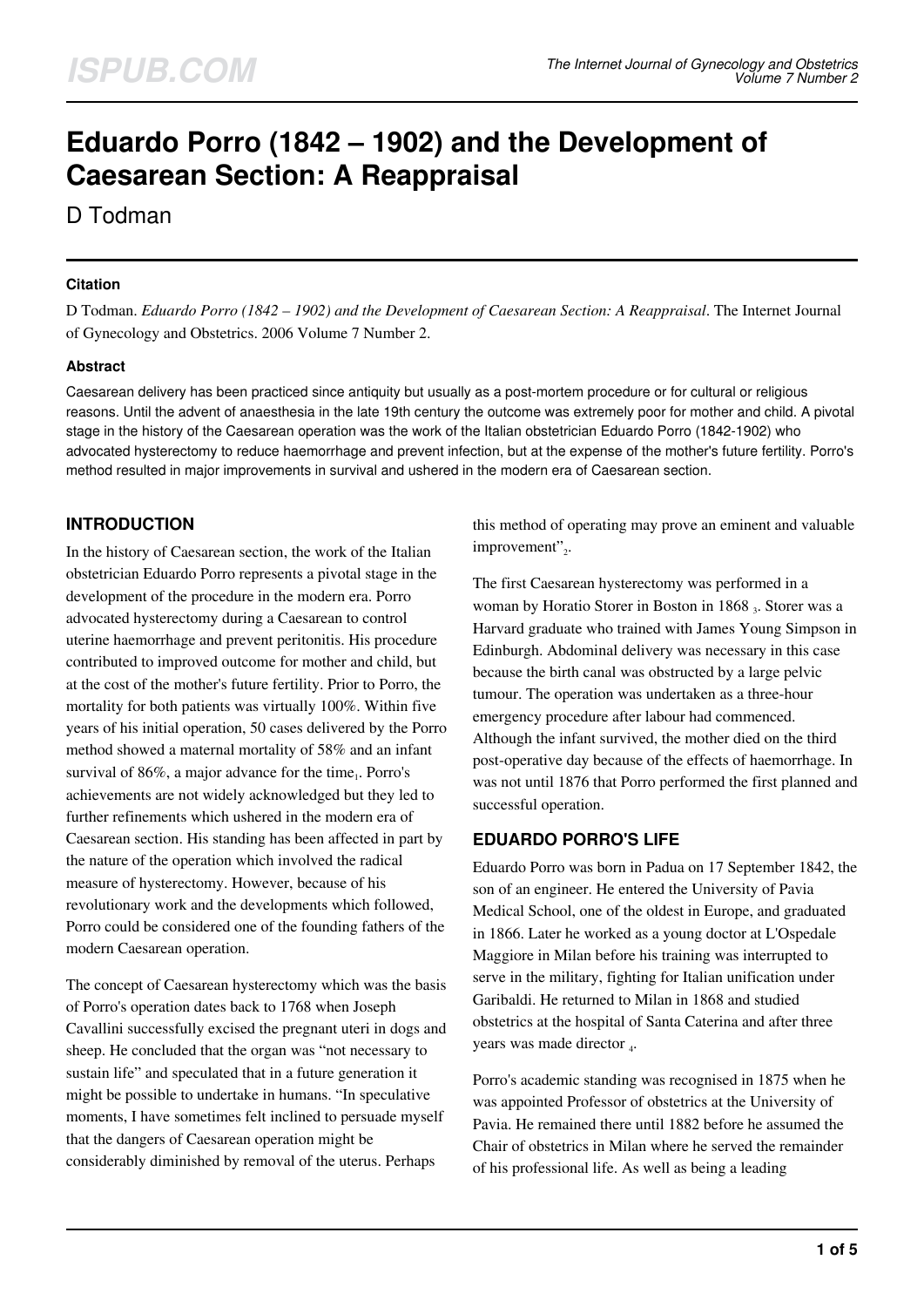# **Eduardo Porro (1842 – 1902) and the Development of Caesarean Section: A Reappraisal**

## D Todman

## **Citation**

D Todman. *Eduardo Porro (1842 – 1902) and the Development of Caesarean Section: A Reappraisal*. The Internet Journal of Gynecology and Obstetrics. 2006 Volume 7 Number 2.

## **Abstract**

Caesarean delivery has been practiced since antiquity but usually as a post-mortem procedure or for cultural or religious reasons. Until the advent of anaesthesia in the late 19th century the outcome was extremely poor for mother and child. A pivotal stage in the history of the Caesarean operation was the work of the Italian obstetrician Eduardo Porro (1842-1902) who advocated hysterectomy to reduce haemorrhage and prevent infection, but at the expense of the mother's future fertility. Porro's method resulted in major improvements in survival and ushered in the modern era of Caesarean section.

## **INTRODUCTION**

In the history of Caesarean section, the work of the Italian obstetrician Eduardo Porro represents a pivotal stage in the development of the procedure in the modern era. Porro advocated hysterectomy during a Caesarean to control uterine haemorrhage and prevent peritonitis. His procedure contributed to improved outcome for mother and child, but at the cost of the mother's future fertility. Prior to Porro, the mortality for both patients was virtually 100%. Within five years of his initial operation, 50 cases delivered by the Porro method showed a maternal mortality of 58% and an infant survival of  $86\%$ , a major advance for the time<sub>1</sub>. Porro's achievements are not widely acknowledged but they led to further refinements which ushered in the modern era of Caesarean section. His standing has been affected in part by the nature of the operation which involved the radical measure of hysterectomy. However, because of his revolutionary work and the developments which followed, Porro could be considered one of the founding fathers of the modern Caesarean operation.

The concept of Caesarean hysterectomy which was the basis of Porro's operation dates back to 1768 when Joseph Cavallini successfully excised the pregnant uteri in dogs and sheep. He concluded that the organ was "not necessary to sustain life" and speculated that in a future generation it might be possible to undertake in humans. "In speculative moments, I have sometimes felt inclined to persuade myself that the dangers of Caesarean operation might be considerably diminished by removal of the uterus. Perhaps

this method of operating may prove an eminent and valuable improvement"2.

The first Caesarean hysterectomy was performed in a woman by Horatio Storer in Boston in 1868 3. Storer was a Harvard graduate who trained with James Young Simpson in Edinburgh. Abdominal delivery was necessary in this case because the birth canal was obstructed by a large pelvic tumour. The operation was undertaken as a three-hour emergency procedure after labour had commenced. Although the infant survived, the mother died on the third post-operative day because of the effects of haemorrhage. In was not until 1876 that Porro performed the first planned and successful operation.

## **EDUARDO PORRO'S LIFE**

Eduardo Porro was born in Padua on 17 September 1842, the son of an engineer. He entered the University of Pavia Medical School, one of the oldest in Europe, and graduated in 1866. Later he worked as a young doctor at L'Ospedale Maggiore in Milan before his training was interrupted to serve in the military, fighting for Italian unification under Garibaldi. He returned to Milan in 1868 and studied obstetrics at the hospital of Santa Caterina and after three years was made director 4.

Porro's academic standing was recognised in 1875 when he was appointed Professor of obstetrics at the University of Pavia. He remained there until 1882 before he assumed the Chair of obstetrics in Milan where he served the remainder of his professional life. As well as being a leading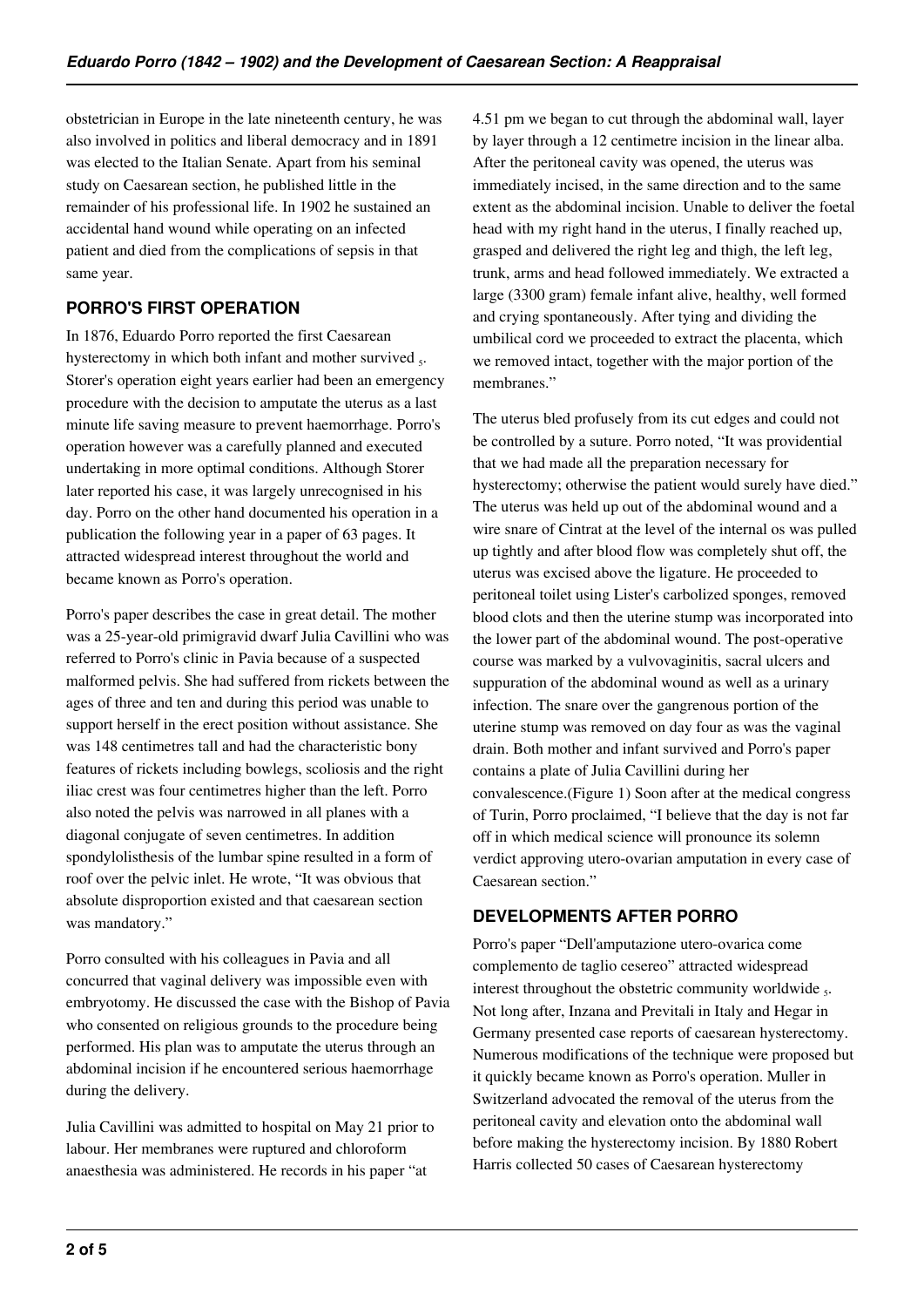obstetrician in Europe in the late nineteenth century, he was also involved in politics and liberal democracy and in 1891 was elected to the Italian Senate. Apart from his seminal study on Caesarean section, he published little in the remainder of his professional life. In 1902 he sustained an accidental hand wound while operating on an infected patient and died from the complications of sepsis in that same year.

## **PORRO'S FIRST OPERATION**

In 1876, Eduardo Porro reported the first Caesarean hysterectomy in which both infant and mother survived  $<sub>5</sub>$ .</sub> Storer's operation eight years earlier had been an emergency procedure with the decision to amputate the uterus as a last minute life saving measure to prevent haemorrhage. Porro's operation however was a carefully planned and executed undertaking in more optimal conditions. Although Storer later reported his case, it was largely unrecognised in his day. Porro on the other hand documented his operation in a publication the following year in a paper of 63 pages. It attracted widespread interest throughout the world and became known as Porro's operation.

Porro's paper describes the case in great detail. The mother was a 25-year-old primigravid dwarf Julia Cavillini who was referred to Porro's clinic in Pavia because of a suspected malformed pelvis. She had suffered from rickets between the ages of three and ten and during this period was unable to support herself in the erect position without assistance. She was 148 centimetres tall and had the characteristic bony features of rickets including bowlegs, scoliosis and the right iliac crest was four centimetres higher than the left. Porro also noted the pelvis was narrowed in all planes with a diagonal conjugate of seven centimetres. In addition spondylolisthesis of the lumbar spine resulted in a form of roof over the pelvic inlet. He wrote, "It was obvious that absolute disproportion existed and that caesarean section was mandatory."

Porro consulted with his colleagues in Pavia and all concurred that vaginal delivery was impossible even with embryotomy. He discussed the case with the Bishop of Pavia who consented on religious grounds to the procedure being performed. His plan was to amputate the uterus through an abdominal incision if he encountered serious haemorrhage during the delivery.

Julia Cavillini was admitted to hospital on May 21 prior to labour. Her membranes were ruptured and chloroform anaesthesia was administered. He records in his paper "at

4.51 pm we began to cut through the abdominal wall, layer by layer through a 12 centimetre incision in the linear alba. After the peritoneal cavity was opened, the uterus was immediately incised, in the same direction and to the same extent as the abdominal incision. Unable to deliver the foetal head with my right hand in the uterus, I finally reached up, grasped and delivered the right leg and thigh, the left leg, trunk, arms and head followed immediately. We extracted a large (3300 gram) female infant alive, healthy, well formed and crying spontaneously. After tying and dividing the umbilical cord we proceeded to extract the placenta, which we removed intact, together with the major portion of the membranes."

The uterus bled profusely from its cut edges and could not be controlled by a suture. Porro noted, "It was providential that we had made all the preparation necessary for hysterectomy; otherwise the patient would surely have died." The uterus was held up out of the abdominal wound and a wire snare of Cintrat at the level of the internal os was pulled up tightly and after blood flow was completely shut off, the uterus was excised above the ligature. He proceeded to peritoneal toilet using Lister's carbolized sponges, removed blood clots and then the uterine stump was incorporated into the lower part of the abdominal wound. The post-operative course was marked by a vulvovaginitis, sacral ulcers and suppuration of the abdominal wound as well as a urinary infection. The snare over the gangrenous portion of the uterine stump was removed on day four as was the vaginal drain. Both mother and infant survived and Porro's paper contains a plate of Julia Cavillini during her convalescence.(Figure 1) Soon after at the medical congress of Turin, Porro proclaimed, "I believe that the day is not far off in which medical science will pronounce its solemn verdict approving utero-ovarian amputation in every case of Caesarean section."

## **DEVELOPMENTS AFTER PORRO**

Porro's paper "Dell'amputazione utero-ovarica come complemento de taglio cesereo" attracted widespread interest throughout the obstetric community worldwide  $_5$ . Not long after, Inzana and Previtali in Italy and Hegar in Germany presented case reports of caesarean hysterectomy. Numerous modifications of the technique were proposed but it quickly became known as Porro's operation. Muller in Switzerland advocated the removal of the uterus from the peritoneal cavity and elevation onto the abdominal wall before making the hysterectomy incision. By 1880 Robert Harris collected 50 cases of Caesarean hysterectomy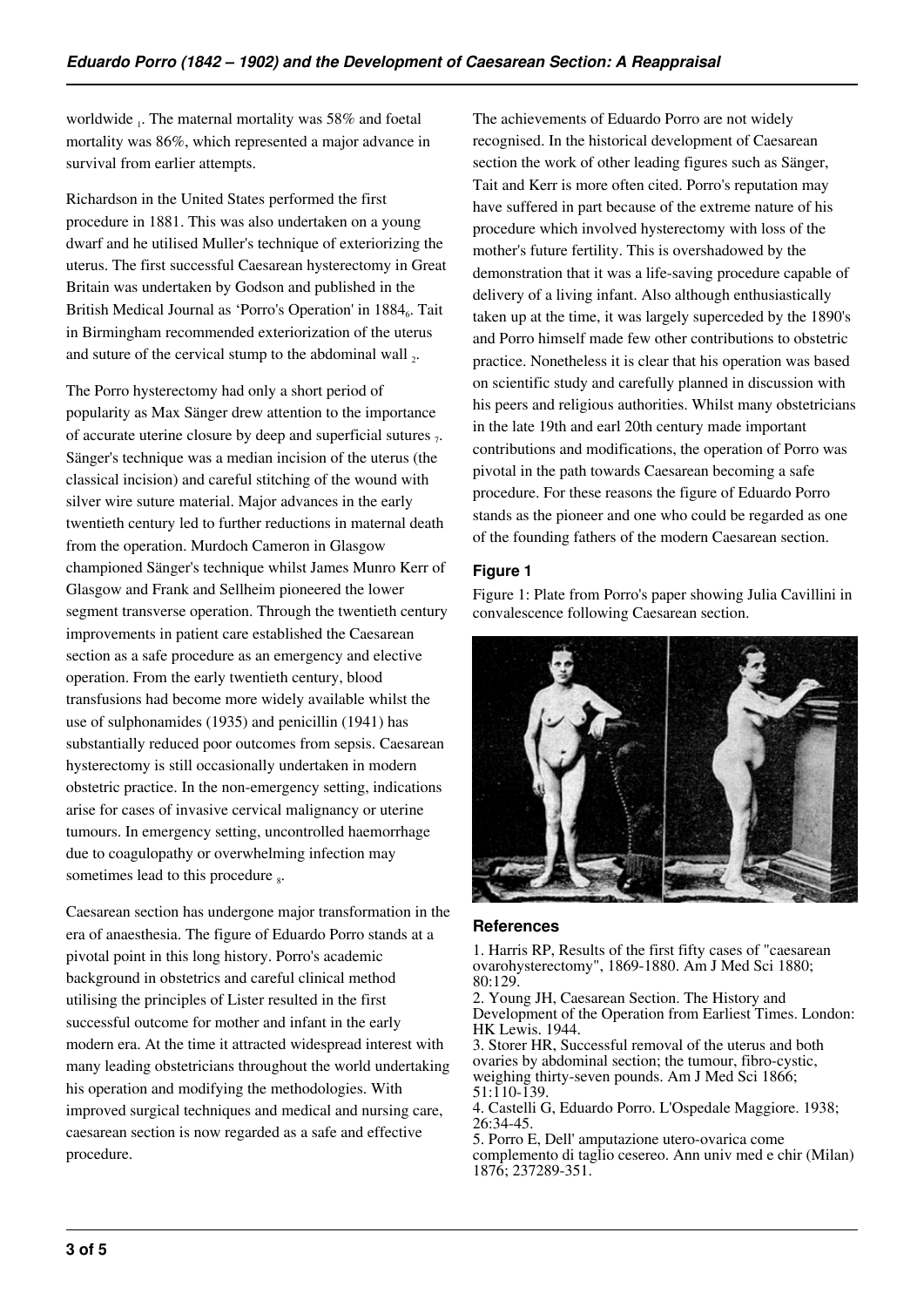worldwide <sub>1</sub>. The maternal mortality was 58% and foetal mortality was 86%, which represented a major advance in survival from earlier attempts.

Richardson in the United States performed the first procedure in 1881. This was also undertaken on a young dwarf and he utilised Muller's technique of exteriorizing the uterus. The first successful Caesarean hysterectomy in Great Britain was undertaken by Godson and published in the British Medical Journal as 'Porro's Operation' in 1884<sub>6</sub>. Tait in Birmingham recommended exteriorization of the uterus and suture of the cervical stump to the abdominal wall  $_2$ .

The Porro hysterectomy had only a short period of popularity as Max Sänger drew attention to the importance of accurate uterine closure by deep and superficial sutures  $_7$ . Sänger's technique was a median incision of the uterus (the classical incision) and careful stitching of the wound with silver wire suture material. Major advances in the early twentieth century led to further reductions in maternal death from the operation. Murdoch Cameron in Glasgow championed Sänger's technique whilst James Munro Kerr of Glasgow and Frank and Sellheim pioneered the lower segment transverse operation. Through the twentieth century improvements in patient care established the Caesarean section as a safe procedure as an emergency and elective operation. From the early twentieth century, blood transfusions had become more widely available whilst the use of sulphonamides (1935) and penicillin (1941) has substantially reduced poor outcomes from sepsis. Caesarean hysterectomy is still occasionally undertaken in modern obstetric practice. In the non-emergency setting, indications arise for cases of invasive cervical malignancy or uterine tumours. In emergency setting, uncontrolled haemorrhage due to coagulopathy or overwhelming infection may sometimes lead to this procedure  $_8$ .

Caesarean section has undergone major transformation in the era of anaesthesia. The figure of Eduardo Porro stands at a pivotal point in this long history. Porro's academic background in obstetrics and careful clinical method utilising the principles of Lister resulted in the first successful outcome for mother and infant in the early modern era. At the time it attracted widespread interest with many leading obstetricians throughout the world undertaking his operation and modifying the methodologies. With improved surgical techniques and medical and nursing care, caesarean section is now regarded as a safe and effective procedure.

The achievements of Eduardo Porro are not widely recognised. In the historical development of Caesarean section the work of other leading figures such as Sänger, Tait and Kerr is more often cited. Porro's reputation may have suffered in part because of the extreme nature of his procedure which involved hysterectomy with loss of the mother's future fertility. This is overshadowed by the demonstration that it was a life-saving procedure capable of delivery of a living infant. Also although enthusiastically taken up at the time, it was largely superceded by the 1890's and Porro himself made few other contributions to obstetric practice. Nonetheless it is clear that his operation was based on scientific study and carefully planned in discussion with his peers and religious authorities. Whilst many obstetricians in the late 19th and earl 20th century made important contributions and modifications, the operation of Porro was pivotal in the path towards Caesarean becoming a safe procedure. For these reasons the figure of Eduardo Porro stands as the pioneer and one who could be regarded as one of the founding fathers of the modern Caesarean section.

#### **Figure 1**

Figure 1: Plate from Porro's paper showing Julia Cavillini in convalescence following Caesarean section.



#### **References**

1. Harris RP, Results of the first fifty cases of "caesarean ovarohysterectomy", 1869-1880. Am J Med Sci 1880; 80:129.

2. Young JH, Caesarean Section. The History and Development of the Operation from Earliest Times. London: HK Lewis. 1944.

3. Storer HR, Successful removal of the uterus and both ovaries by abdominal section; the tumour, fibro-cystic, weighing thirty-seven pounds. Am J Med Sci 1866; 51:110-139.

4. Castelli G, Eduardo Porro. L'Ospedale Maggiore. 1938; 26:34-45.

5. Porro E, Dell' amputazione utero-ovarica come complemento di taglio cesereo. Ann univ med e chir (Milan) 1876; 237289-351.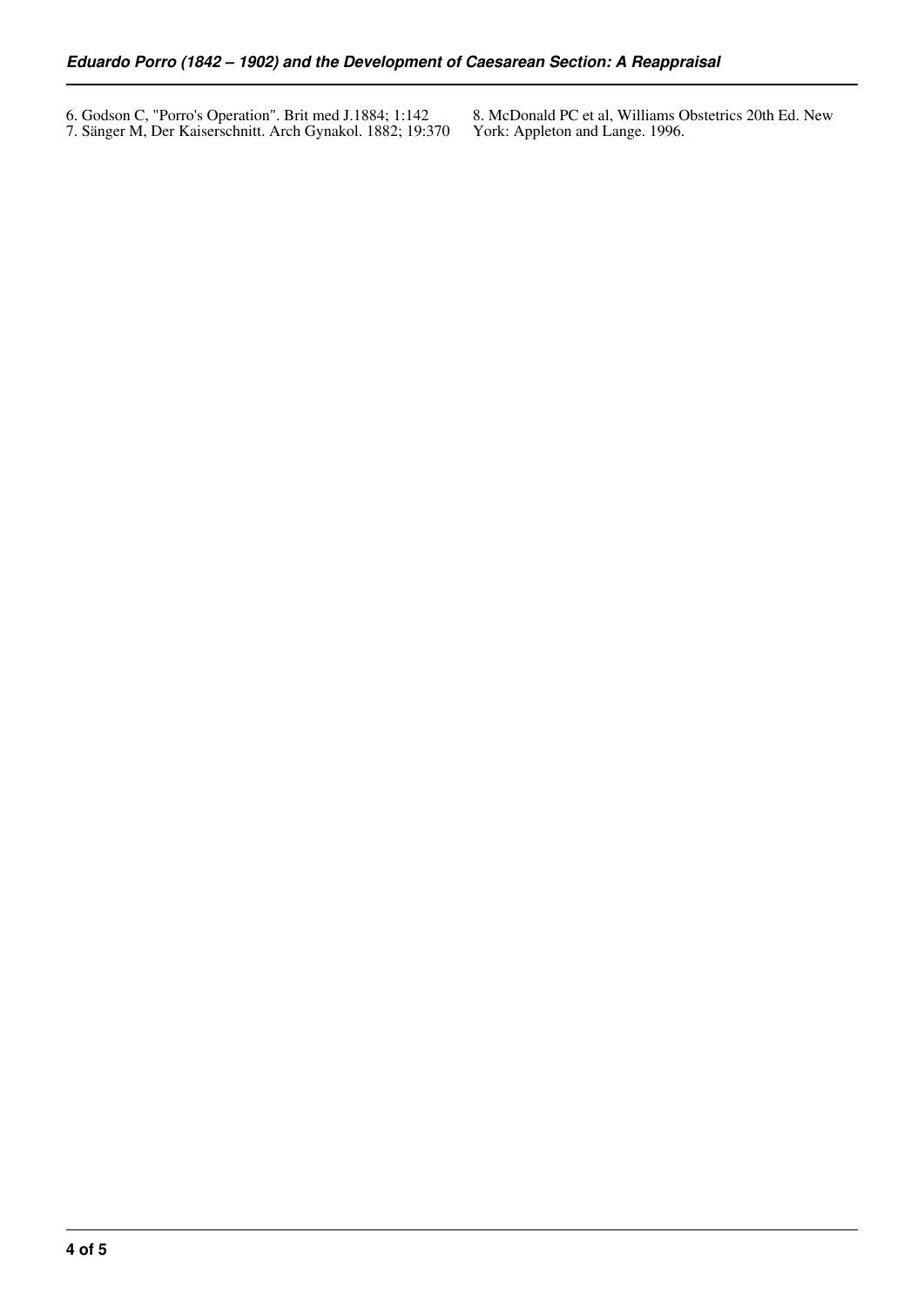6. Godson C, "Porro's Operation". Brit med J.1884; 1:142 7. Sänger M, Der Kaiserschnitt. Arch Gynakol. 1882; 19:370 8. McDonald PC et al, Williams Obstetrics 20th Ed. New York: Appleton and Lange. 1996.